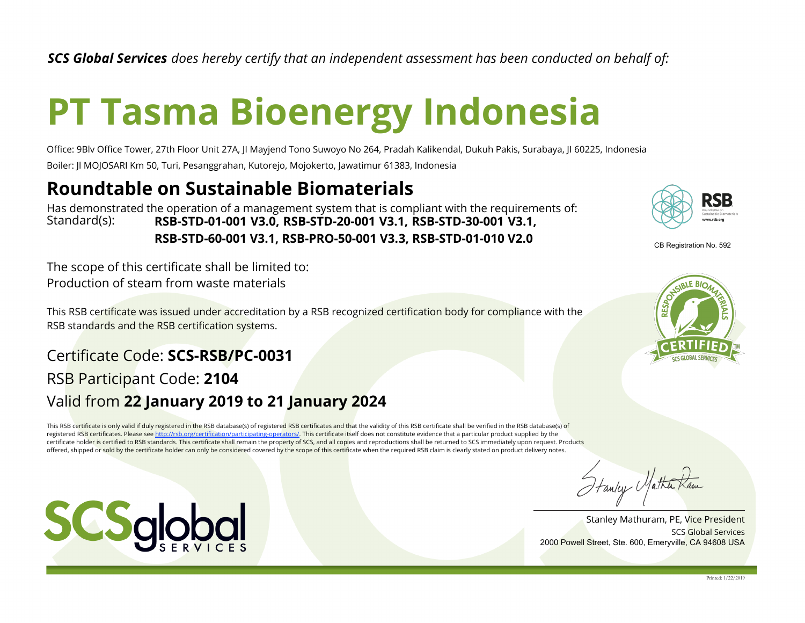*SCS Global Services does hereby certify that an independent assessment has been conducted on behalf of:*

## **PT Tasma Bioenergy Indonesia**

Office: 9Blv Office Tower, 27th Floor Unit 27A, JI Mayjend Tono Suwoyo No 264, Pradah Kalikendal, Dukuh Pakis, Surabaya, JI 60225, Indonesia Boiler: Jl MOJOSARI Km 50, Turi, Pesanggrahan, Kutorejo, Mojokerto, Jawatimur 61383, Indonesia

## **Roundtable on Sustainable Biomaterials**

Standard(s): Has demonstrated the operation of a management system that is compliant with the requirements of: **RSB-STD-01-001 V3.0, RSB-STD-20-001 V3.1, RSB-STD-30-001 V3.1, RSB-STD-60-001 V3.1, RSB-PRO-50-001 V3.3, RSB-STD-01-010 V2.0**

Production of steam from waste materials The scope of this certificate shall be limited to:

This RSB certificate was issued under accreditation by a RSB recognized certification body for compliance with the RSB standards and the RSB certification systems.

## Valid from **22 January 2019 to 21 January 2024** Certificate Code: **SCS-RSB/PC-0031** RSB Participant Code: **2104**

This RSB certificate is only valid if duly registered in the RSB database(s) of registered RSB certificates and that the validity of this RSB certificate shall be verified in the RSB database(s) of registered RSB certificates. Please see http://rsb.org/certification/participating-operators/. This certificate itself does not constitute evidence that a particular product supplied by the certificate holder is certified to RSB standards. This certificate shall remain the property of SCS, and all copies and reproductions shall be returned to SCS immediately upon request. Products offered, shipped or sold by the certificate holder can only be considered covered by the scope of this certificate when the required RSB claim is clearly stated on product delivery notes.







SCS Global Services Stanley Mathuram, PE, Vice President 2000 Powell Street, Ste. 600, Emeryville, CA 94608 USA